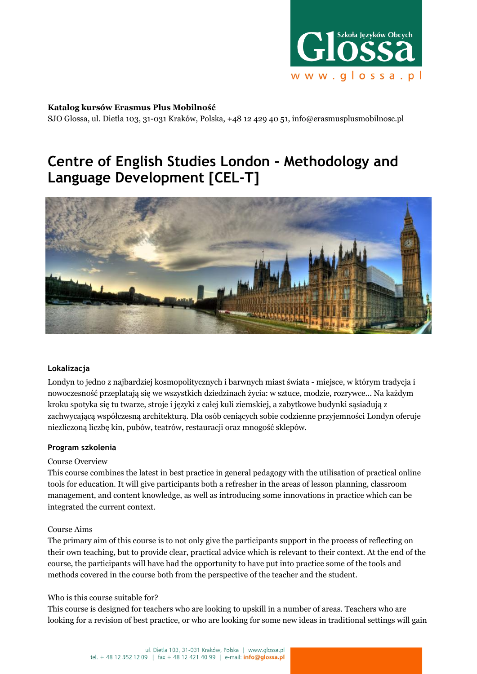

#### **Katalog kursów Erasmus Plus Mobilność**

SJO Glossa, ul. Dietla 103, 31-031 Kraków, Polska, +48 12 429 40 51, info@erasmusplusmobilnosc.pl

# **Centre of English Studies London - Methodology and Language Development [CEL-T]**



## **Lokalizacja**

Londyn to jedno z najbardziej kosmopolitycznych i barwnych miast świata - miejsce, w którym tradycja i nowoczesność przeplatają się we wszystkich dziedzinach życia: w sztuce, modzie, rozrywce... Na każdym kroku spotyka się tu twarze, stroje i języki z całej kuli ziemskiej, a zabytkowe budynki sąsiadują z zachwycającą współczesną architekturą. Dla osób ceniących sobie codzienne przyjemności Londyn oferuje niezliczoną liczbę kin, pubów, teatrów, restauracji oraz mnogość sklepów.

## **Program szkolenia**

#### Course Overview

This course combines the latest in best practice in general pedagogy with the utilisation of practical online tools for education. It will give participants both a refresher in the areas of lesson planning, classroom management, and content knowledge, as well as introducing some innovations in practice which can be integrated the current context.

## Course Aims

The primary aim of this course is to not only give the participants support in the process of reflecting on their own teaching, but to provide clear, practical advice which is relevant to their context. At the end of the course, the participants will have had the opportunity to have put into practice some of the tools and methods covered in the course both from the perspective of the teacher and the student.

#### Who is this course suitable for?

This course is designed for teachers who are looking to upskill in a number of areas. Teachers who are looking for a revision of best practice, or who are looking for some new ideas in traditional settings will gain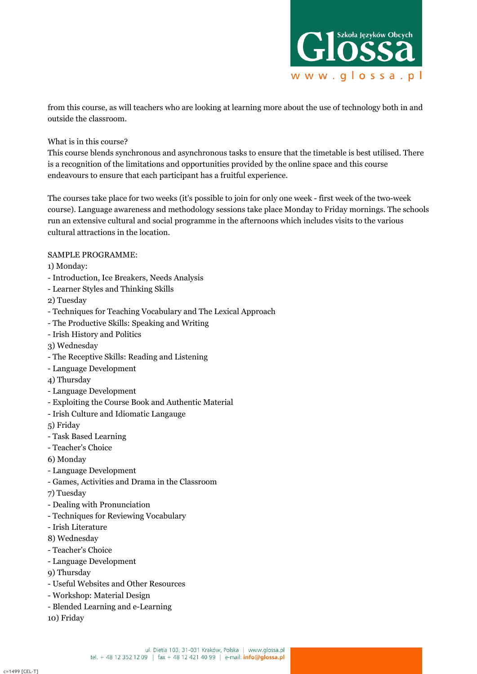

from this course, as will teachers who are looking at learning more about the use of technology both in and outside the classroom.

## What is in this course?

This course blends synchronous and asynchronous tasks to ensure that the timetable is best utilised. There is a recognition of the limitations and opportunities provided by the online space and this course endeavours to ensure that each participant has a fruitful experience.

The courses take place for two weeks (it's possible to join for only one week - first week of the two-week course). Language awareness and methodology sessions take place Monday to Friday mornings. The schools run an extensive cultural and social programme in the afternoons which includes visits to the various cultural attractions in the location.

# SAMPLE PROGRAMME:

1) Monday:

- Introduction, Ice Breakers, Needs Analysis
- Learner Styles and Thinking Skills

2) Tuesday

- Techniques for Teaching Vocabulary and The Lexical Approach
- The Productive Skills: Speaking and Writing
- Irish History and Politics
- 3) Wednesday
- The Receptive Skills: Reading and Listening
- Language Development
- 4) Thursday
- Language Development
- Exploiting the Course Book and Authentic Material
- Irish Culture and Idiomatic Langauge

5) Friday

- Task Based Learning
- Teacher's Choice
- 6) Monday
- Language Development
- Games, Activities and Drama in the Classroom
- 7) Tuesday
- Dealing with Pronunciation
- Techniques for Reviewing Vocabulary
- Irish Literature
- 8) Wednesday
- Teacher's Choice
- Language Development
- 9) Thursday
- Useful Websites and Other Resources
- Workshop: Material Design
- Blended Learning and e-Learning
- 10) Friday